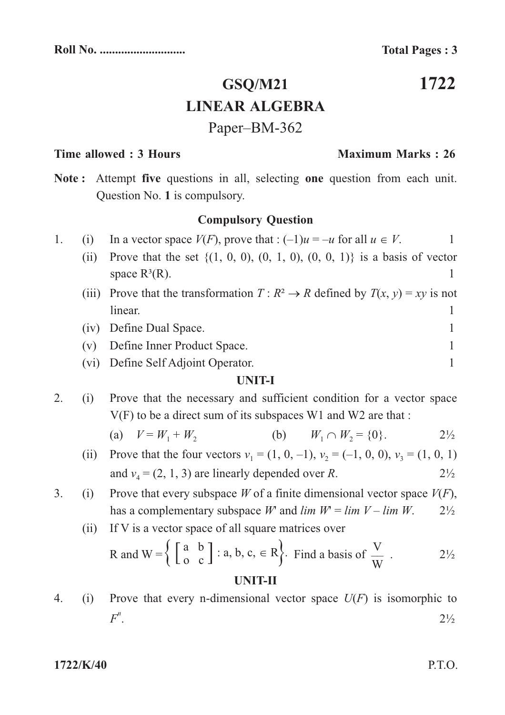**1722**

# **GSQ/M21 LINEAR ALGEBRA** Paper–BM-362

## **Time allowed : 3 Hours Maximum Marks : 26**

Note: Attempt five questions in all, selecting one question from each unit. Question No. 1 is compulsory.

## **Compulsory Question**

- 1. (i) In a vector space  $V(F)$ , prove that  $: (-1)u = -u$  for all  $u \in V$ .
	- (ii) Prove that the set  $\{(1, 0, 0), (0, 1, 0), (0, 0, 1)\}$  is a basis of vector space  $R^3(R)$ . 1
	- (iii) Prove that the transformation  $T: \mathbb{R}^2 \to \mathbb{R}$  defined by  $T(x, y) = xy$  is not linear. 1
	- (iv) Define Dual Space. 1
	- (v) Define Inner Product Space. 1
	- (vi) Define Self Adjoint Operator. 1

### **UNIT-I**

- 2. (i) Prove that the necessary and sufficient condition for a vector space V(F) to be a direct sum of its subspaces W1 and W2 are that :
	- (a)  $V = W_1 + W_2$  (b)  $W_1 \cap W_2 = \{0\}.$  2<sup>1</sup>/<sub>2</sub>
	- (ii) Prove that the four vectors  $v_1 = (1, 0, -1), v_2 = (-1, 0, 0), v_3 = (1, 0, 1)$ and  $v_4 = (2, 1, 3)$  are linearly depended over R. 2<sup>1</sup>/<sub>2</sub>
- 3. (i) Prove that every subspace W of a finite dimensional vector space  $V(F)$ , has a complementary subspace W and  $\lim W = \lim V - \lim W$ . 2<sup>1</sup>/<sub>2</sub>

(ii) If V is a vector space of all square matrices over

R and W = 
$$
\left\{ \begin{bmatrix} a & b \\ 0 & c \end{bmatrix} : a, b, c \in R \right\}
$$
. Find a basis of  $\frac{V}{W}$ .

## **UNIT-II**

4. (i) Prove that every n-dimensional vector space  $U(F)$  is isomorphic to .  $2\frac{1}{2}$ *F n*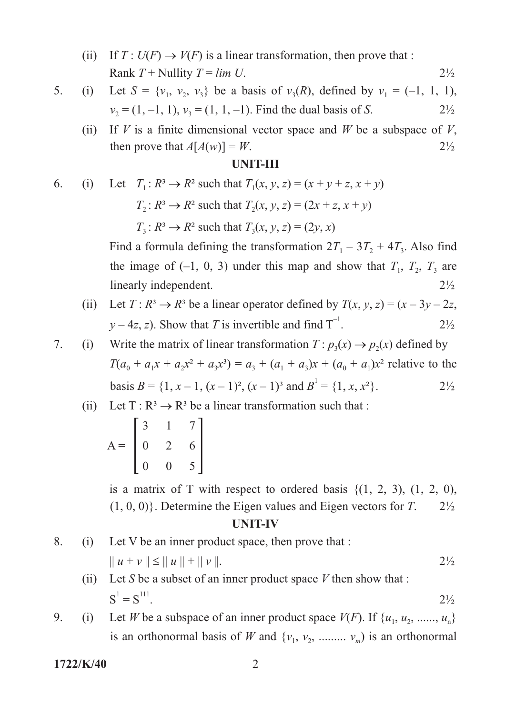- (ii) If  $T: U(F) \to V(F)$  is a linear transformation, then prove that : Rank  $T +$  Nullity  $T = \lim U$ . 2<sup>1</sup>/<sub>2</sub>
- 5. (i) Let  $S = \{v_1, v_2, v_3\}$  be a basis of  $v_3(R)$ , defined by  $v_1 = (-1, 1, 1)$ ,  $v_2 = (1, -1, 1), v_3 = (1, 1, -1)$ . Find the dual basis of S. 2<sup>1</sup>/<sub>2</sub>
	- (ii) If V is a finite dimensional vector space and W be a subspace of V, then prove that  $A[A(w)] = W$ . 2<sup>1</sup>/<sub>2</sub>

#### **UNIT-III**

6. (i) Let 
$$
T_1: R^3 \to R^2
$$
 such that  $T_1(x, y, z) = (x + y + z, x + y)$   
 $T_2: R^3 \to R^2$  such that  $T_2(x, y, z) = (2x + z, x + y)$ 

 $T_3: R^3 \to R^2$  such that  $T_3(x, y, z) = (2y, x)$ 

Find a formula defining the transformation  $2T_1 - 3T_2 + 4T_3$ . Also find the image of  $(-1, 0, 3)$  under this map and show that  $T_1$ ,  $T_2$ ,  $T_3$  are linearly independent. 2<sup>1</sup>/<sub>2</sub>

- (ii) Let  $T: \mathbb{R}^3 \to \mathbb{R}^3$  be a linear operator defined by  $T(x, y, z) = (x 3y 2z, z)$  $y - 4z$ , z). Show that T is invertible and find  $T^{-1}$ . 2<sup>1</sup>/<sub>2</sub>
- 7. (i) Write the matrix of linear transformation  $T: p_3(x) \to p_2(x)$  defined by  $T(a_0 + a_1x + a_2x^2 + a_3x^3) = a_3 + (a_1 + a_3)x + (a_0 + a_1)x^2$  relative to the basis  $B = \{1, x - 1, (x - 1)^2, (x - 1)^3 \text{ and } B^1 = \{1, x, x^2\}.$  2<sup>1</sup>/<sub>2</sub>
	- (ii) Let  $T: \mathbb{R}^3 \to \mathbb{R}^3$  be a linear transformation such that :

$$
A = \begin{bmatrix} 3 & 1 & 7 \\ 0 & 2 & 6 \\ 0 & 0 & 5 \end{bmatrix}
$$

is a matrix of T with respect to ordered basis  $\{(1, 2, 3), (1, 2, 0),\}$  $(1, 0, 0)$ . Determine the Eigen values and Eigen vectors for T.  $2\frac{1}{2}$ 

#### **UNIT-IV**

8. (i) Let V be an inner product space, then prove that :  
\n
$$
\|u + v\| \le \|u\| + \|v\|.
$$
\n2<sup>1</sup>/<sub>2</sub>

#### (ii) Let S be a subset of an inner product space  $V$  then show that :  $S' = S''$ . 2½  $S^1 = S^{111}$ .

9. (i) Let *W* be a subspace of an inner product space  $V(F)$ . If  $\{u_1, u_2, \ldots, u_n\}$ is an orthonormal basis of W and  $\{v_1, v_2, \dots, v_m\}$  is an orthonormal

**1722/K/40** 2